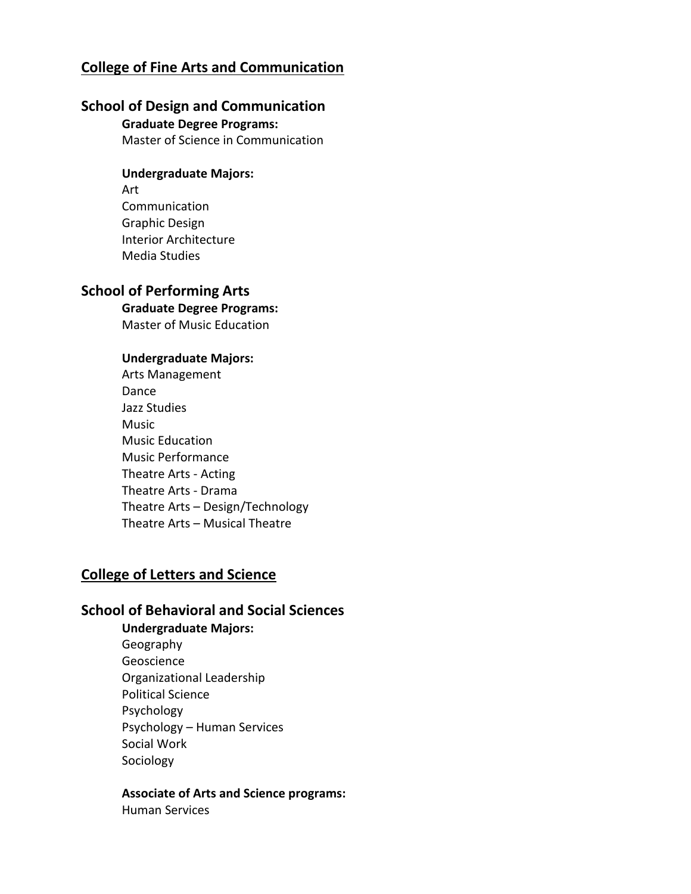# **College of Fine Arts and Communication**

# **School of Design and Communication**

**Graduate Degree Programs:**

Master of Science in Communication

## **Undergraduate Majors:**

Art Communication Graphic Design Interior Architecture Media Studies

## **School of Performing Arts**

**Graduate Degree Programs:** Master of Music Education

### **Undergraduate Majors:**

Arts Management Dance Jazz Studies Music Music Education Music Performance Theatre Arts - Acting Theatre Arts - Drama Theatre Arts – Design/Technology Theatre Arts – Musical Theatre

# **College of Letters and Science**

# **School of Behavioral and Social Sciences**

**Undergraduate Majors:**  Geography Geoscience Organizational Leadership Political Science Psychology Psychology – Human Services Social Work Sociology

## **Associate of Arts and Science programs:**

Human Services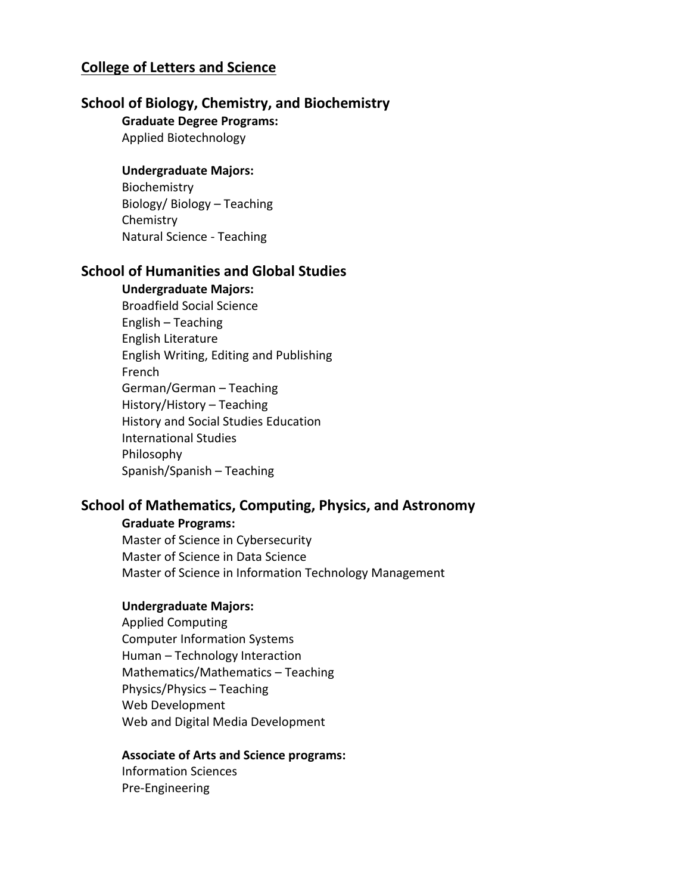# **College of Letters and Science**

## **School of Biology, Chemistry, and Biochemistry**

**Graduate Degree Programs:**

Applied Biotechnology

### **Undergraduate Majors:**

Biochemistry Biology/ Biology – Teaching **Chemistry** Natural Science - Teaching

# **School of Humanities and Global Studies**

#### **Undergraduate Majors:**

Broadfield Social Science English – Teaching English Literature English Writing, Editing and Publishing French German/German – Teaching History/History – Teaching History and Social Studies Education International Studies Philosophy Spanish/Spanish – Teaching

## **School of Mathematics, Computing, Physics, and Astronomy**

#### **Graduate Programs:**

Master of Science in Cybersecurity Master of Science in Data Science Master of Science in Information Technology Management

### **Undergraduate Majors:**

Applied Computing Computer Information Systems Human – Technology Interaction Mathematics/Mathematics – Teaching Physics/Physics – Teaching Web Development Web and Digital Media Development

#### **Associate of Arts and Science programs:**

Information Sciences Pre-Engineering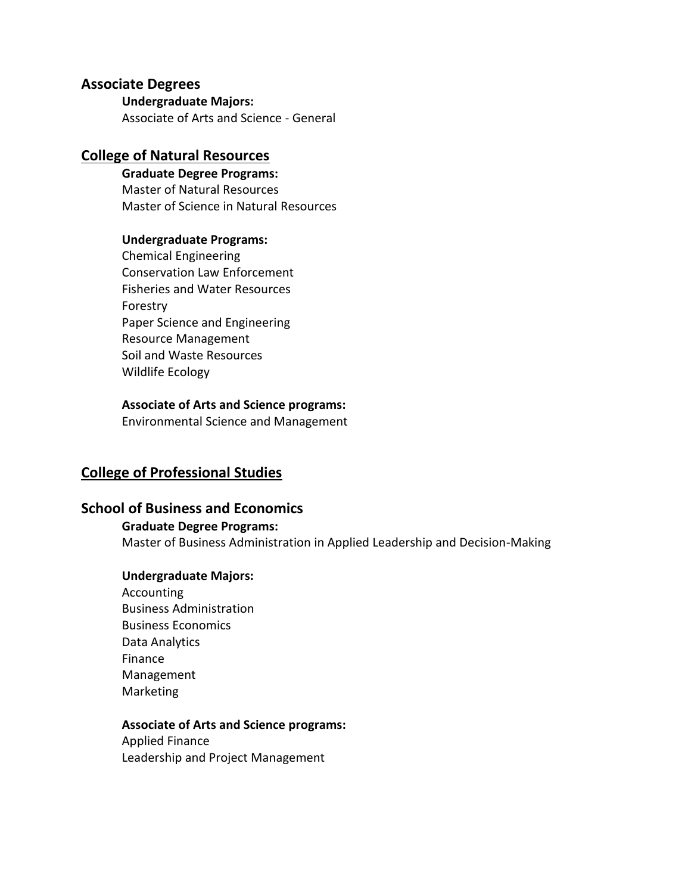## **Associate Degrees**

#### **Undergraduate Majors:**

Associate of Arts and Science - General

## **College of Natural Resources**

# **Graduate Degree Programs:**

Master of Natural Resources Master of Science in Natural Resources

### **Undergraduate Programs:**

Chemical Engineering Conservation Law Enforcement Fisheries and Water Resources Forestry Paper Science and Engineering Resource Management Soil and Waste Resources Wildlife Ecology

### **Associate of Arts and Science programs:**

Environmental Science and Management

# **College of Professional Studies**

# **School of Business and Economics**

## **Graduate Degree Programs:**

Master of Business Administration in Applied Leadership and Decision-Making

### **Undergraduate Majors:**

Accounting Business Administration Business Economics Data Analytics Finance Management Marketing

#### **Associate of Arts and Science programs:**

Applied Finance Leadership and Project Management